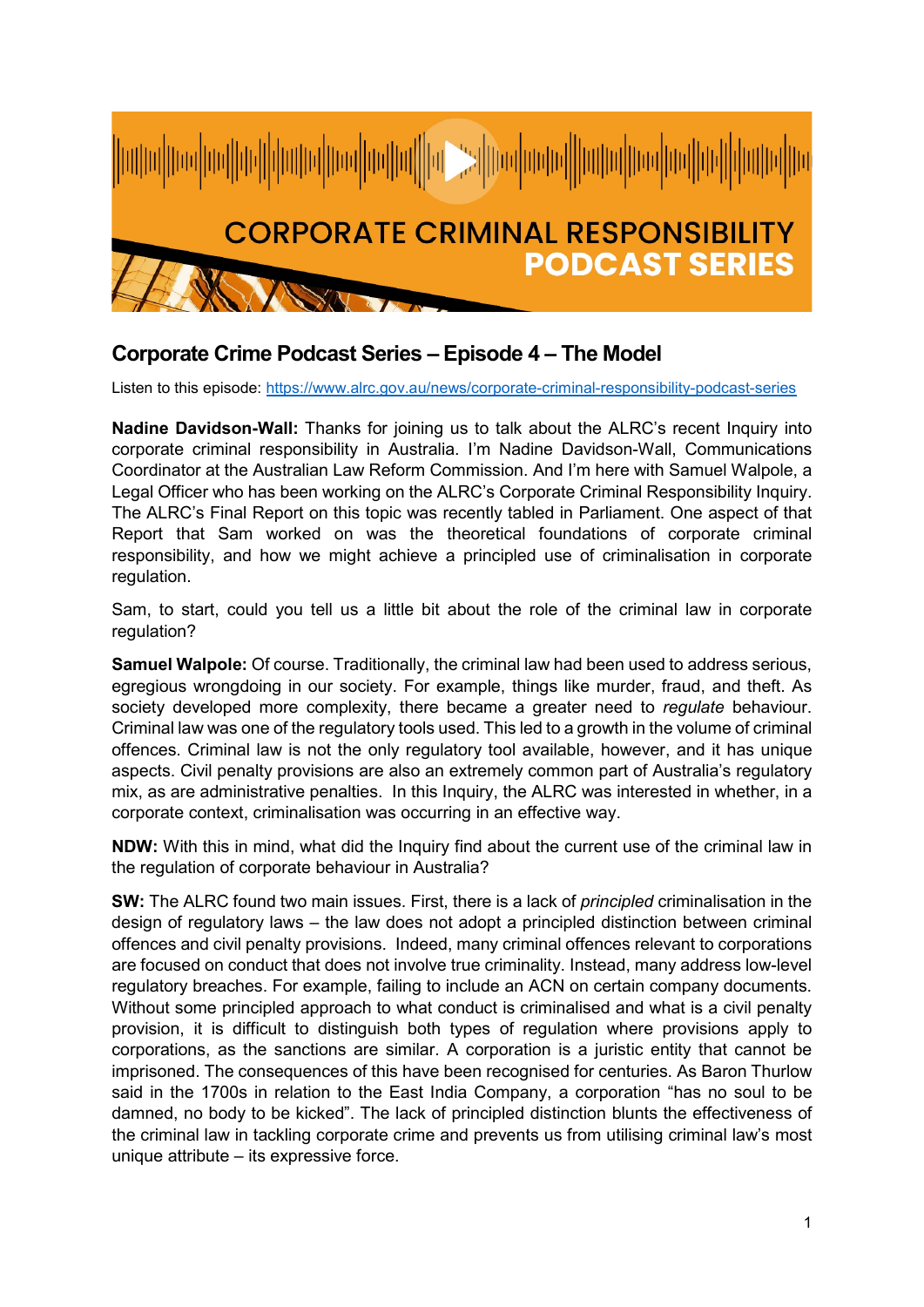

## **Corporate Crime Podcast Series – Episode 4 – The Model**

Listen to this episode:<https://www.alrc.gov.au/news/corporate-criminal-responsibility-podcast-series>

**Nadine Davidson-Wall:** Thanks for joining us to talk about the ALRC's recent Inquiry into corporate criminal responsibility in Australia. I'm Nadine Davidson-Wall, Communications Coordinator at the Australian Law Reform Commission. And I'm here with Samuel Walpole, a Legal Officer who has been working on the ALRC's Corporate Criminal Responsibility Inquiry. The ALRC's Final Report on this topic was recently tabled in Parliament. One aspect of that Report that Sam worked on was the theoretical foundations of corporate criminal responsibility, and how we might achieve a principled use of criminalisation in corporate regulation.

Sam, to start, could you tell us a little bit about the role of the criminal law in corporate regulation?

**Samuel Walpole:** Of course. Traditionally, the criminal law had been used to address serious, egregious wrongdoing in our society. For example, things like murder, fraud, and theft. As society developed more complexity, there became a greater need to *regulate* behaviour. Criminal law was one of the regulatory tools used. This led to a growth in the volume of criminal offences. Criminal law is not the only regulatory tool available, however, and it has unique aspects. Civil penalty provisions are also an extremely common part of Australia's regulatory mix, as are administrative penalties. In this Inquiry, the ALRC was interested in whether, in a corporate context, criminalisation was occurring in an effective way.

**NDW:** With this in mind, what did the Inquiry find about the current use of the criminal law in the regulation of corporate behaviour in Australia?

**SW:** The ALRC found two main issues. First, there is a lack of *principled* criminalisation in the design of regulatory laws – the law does not adopt a principled distinction between criminal offences and civil penalty provisions. Indeed, many criminal offences relevant to corporations are focused on conduct that does not involve true criminality. Instead, many address low-level regulatory breaches. For example, failing to include an ACN on certain company documents. Without some principled approach to what conduct is criminalised and what is a civil penalty provision, it is difficult to distinguish both types of regulation where provisions apply to corporations, as the sanctions are similar. A corporation is a juristic entity that cannot be imprisoned. The consequences of this have been recognised for centuries. As Baron Thurlow said in the 1700s in relation to the East India Company, a corporation "has no soul to be damned, no body to be kicked". The lack of principled distinction blunts the effectiveness of the criminal law in tackling corporate crime and prevents us from utilising criminal law's most unique attribute – its expressive force.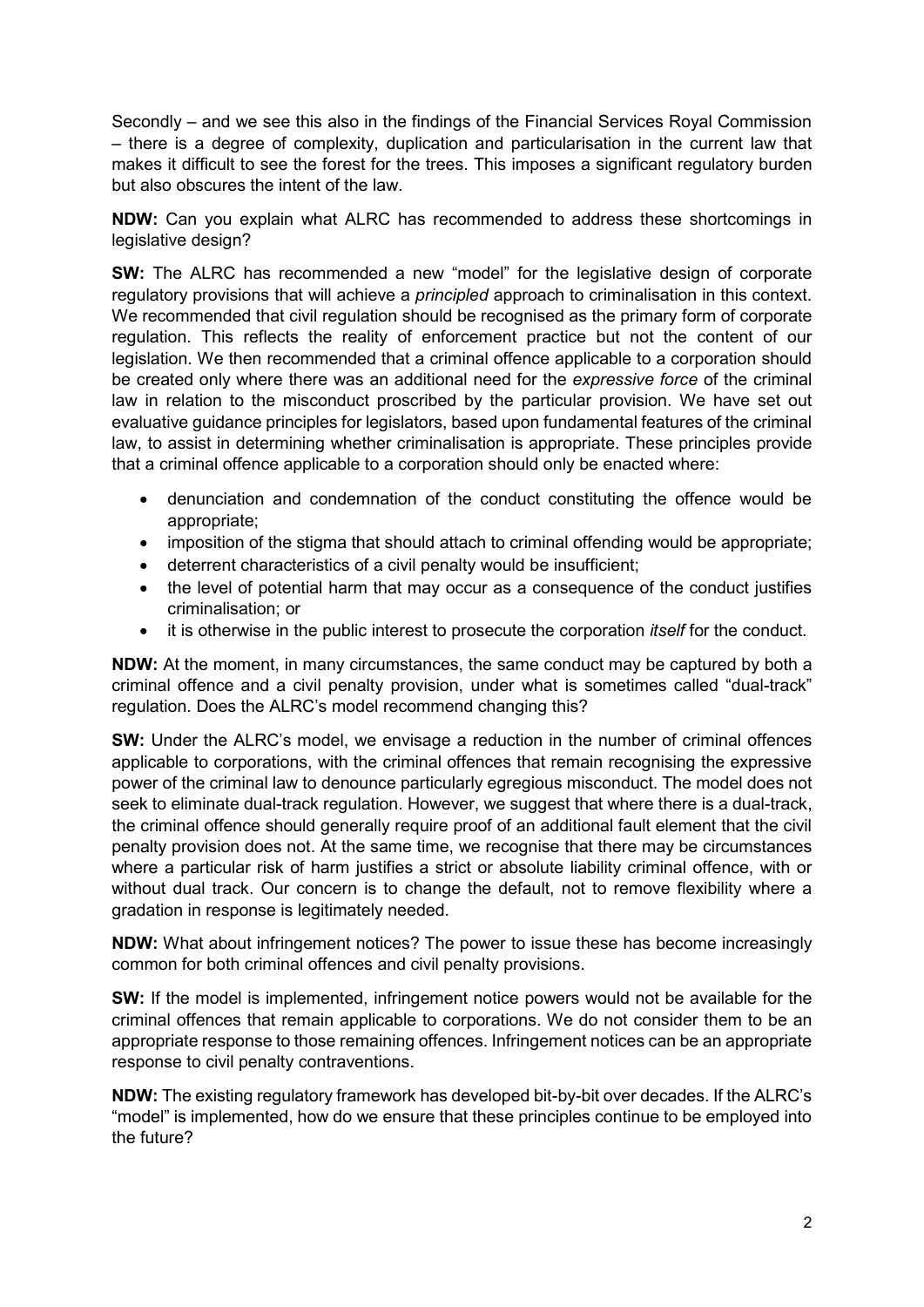Secondly – and we see this also in the findings of the Financial Services Royal Commission – there is a degree of complexity, duplication and particularisation in the current law that makes it difficult to see the forest for the trees. This imposes a significant regulatory burden but also obscures the intent of the law.

**NDW:** Can you explain what ALRC has recommended to address these shortcomings in legislative design?

**SW:** The ALRC has recommended a new "model" for the legislative design of corporate regulatory provisions that will achieve a *principled* approach to criminalisation in this context. We recommended that civil regulation should be recognised as the primary form of corporate regulation. This reflects the reality of enforcement practice but not the content of our legislation. We then recommended that a criminal offence applicable to a corporation should be created only where there was an additional need for the *expressive force* of the criminal law in relation to the misconduct proscribed by the particular provision. We have set out evaluative guidance principles for legislators, based upon fundamental features of the criminal law, to assist in determining whether criminalisation is appropriate. These principles provide that a criminal offence applicable to a corporation should only be enacted where:

- denunciation and condemnation of the conduct constituting the offence would be appropriate;
- imposition of the stigma that should attach to criminal offending would be appropriate;
- deterrent characteristics of a civil penalty would be insufficient;
- the level of potential harm that may occur as a consequence of the conduct justifies criminalisation; or
- it is otherwise in the public interest to prosecute the corporation *itself* for the conduct.

**NDW:** At the moment, in many circumstances, the same conduct may be captured by both a criminal offence and a civil penalty provision, under what is sometimes called "dual-track" regulation. Does the ALRC's model recommend changing this?

**SW:** Under the ALRC's model, we envisage a reduction in the number of criminal offences applicable to corporations, with the criminal offences that remain recognising the expressive power of the criminal law to denounce particularly egregious misconduct. The model does not seek to eliminate dual-track regulation. However, we suggest that where there is a dual-track, the criminal offence should generally require proof of an additional fault element that the civil penalty provision does not. At the same time, we recognise that there may be circumstances where a particular risk of harm justifies a strict or absolute liability criminal offence, with or without dual track. Our concern is to change the default, not to remove flexibility where a gradation in response is legitimately needed.

**NDW:** What about infringement notices? The power to issue these has become increasingly common for both criminal offences and civil penalty provisions.

**SW:** If the model is implemented, infringement notice powers would not be available for the criminal offences that remain applicable to corporations. We do not consider them to be an appropriate response to those remaining offences. Infringement notices can be an appropriate response to civil penalty contraventions.

**NDW:** The existing regulatory framework has developed bit-by-bit over decades. If the ALRC's "model" is implemented, how do we ensure that these principles continue to be employed into the future?